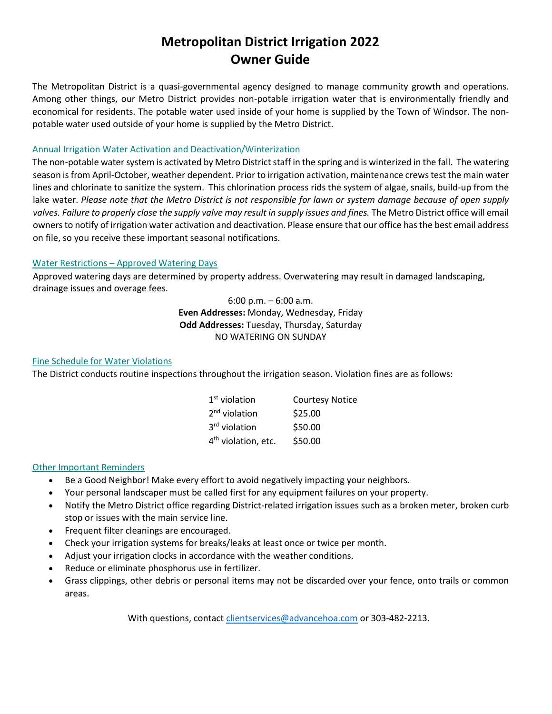# **Metropolitan District Irrigation 2022 Owner Guide**

The Metropolitan District is a quasi-governmental agency designed to manage community growth and operations. Among other things, our Metro District provides non-potable irrigation water that is environmentally friendly and economical for residents. The potable water used inside of your home is supplied by the Town of Windsor. The nonpotable water used outside of your home is supplied by the Metro District.

### Annual Irrigation Water Activation and Deactivation/Winterization

The non-potable water system is activated by Metro District staff in the spring and is winterized in the fall. The watering season is from April-October, weather dependent. Prior to irrigation activation, maintenance crews test the main water lines and chlorinate to sanitize the system. This chlorination process rids the system of algae, snails, build-up from the lake water. *Please note that the Metro District is not responsible for lawn or system damage because of open supply valves. Failure to properly close the supply valve may result in supply issues and fines.* The Metro District office will email owners to notify of irrigation water activation and deactivation. Please ensure that our office has the best email address on file, so you receive these important seasonal notifications.

### Water Restrictions – Approved Watering Days

Approved watering days are determined by property address. Overwatering may result in damaged landscaping, drainage issues and overage fees.

> 6:00 p.m. – 6:00 a.m. **Even Addresses:** Monday, Wednesday, Friday **Odd Addresses:** Tuesday, Thursday, Saturday NO WATERING ON SUNDAY

### Fine Schedule for Water Violations

The District conducts routine inspections throughout the irrigation season. Violation fines are as follows:

| $1st$ violation                 | <b>Courtesy Notice</b> |
|---------------------------------|------------------------|
| $2nd$ violation                 | \$25.00                |
| 3 <sup>rd</sup> violation       | \$50.00                |
| 4 <sup>th</sup> violation, etc. | \$50.00                |

## Other Important Reminders

- Be a Good Neighbor! Make every effort to avoid negatively impacting your neighbors.
- Your personal landscaper must be called first for any equipment failures on your property.
- Notify the Metro District office regarding District-related irrigation issues such as a broken meter, broken curb stop or issues with the main service line.
- Frequent filter cleanings are encouraged.
- Check your irrigation systems for breaks/leaks at least once or twice per month.
- Adjust your irrigation clocks in accordance with the weather conditions.
- Reduce or eliminate phosphorus use in fertilizer.
- Grass clippings, other debris or personal items may not be discarded over your fence, onto trails or common areas.

With questions, contact [clientservices@advancehoa.com](mailto:clientservices@advancehoa.com) or 303-482-2213.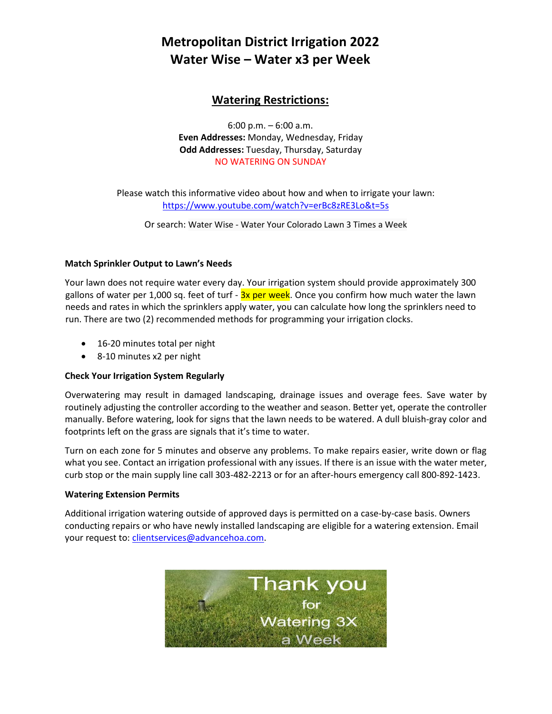# **Metropolitan District Irrigation 2022 Water Wise – Water x3 per Week**

# **Watering Restrictions:**

6:00 p.m. – 6:00 a.m. **Even Addresses:** Monday, Wednesday, Friday **Odd Addresses:** Tuesday, Thursday, Saturday NO WATERING ON SUNDAY

Please watch this informative video about how and when to irrigate your lawn: <https://www.youtube.com/watch?v=erBc8zRE3Lo&t=5s>

Or search: Water Wise - Water Your Colorado Lawn 3 Times a Week

## **Match Sprinkler Output to Lawn's Needs**

Your lawn does not require water every day. Your irrigation system should provide approximately 300 gallons of water per 1,000 sq. feet of turf -  $3x$  per week. Once you confirm how much water the lawn needs and rates in which the sprinklers apply water, you can calculate how long the sprinklers need to run. There are two (2) recommended methods for programming your irrigation clocks.

- 16-20 minutes total per night
- 8-10 minutes x2 per night

## **Check Your Irrigation System Regularly**

Overwatering may result in damaged landscaping, drainage issues and overage fees. Save water by routinely adjusting the controller according to the weather and season. Better yet, operate the controller manually. Before watering, look for signs that the lawn needs to be watered. A dull bluish-gray color and footprints left on the grass are signals that it's time to water.

Turn on each zone for 5 minutes and observe any problems. To make repairs easier, write down or flag what you see. Contact an irrigation professional with any issues. If there is an issue with the water meter, curb stop or the main supply line call 303-482-2213 or for an after-hours emergency call 800-892-1423.

### **Watering Extension Permits**

Additional irrigation watering outside of approved days is permitted on a case-by-case basis. Owners conducting repairs or who have newly installed landscaping are eligible for a watering extension. Email your request to[: clientservices@advancehoa.com.](mailto:clientservices@advancehoa.com)